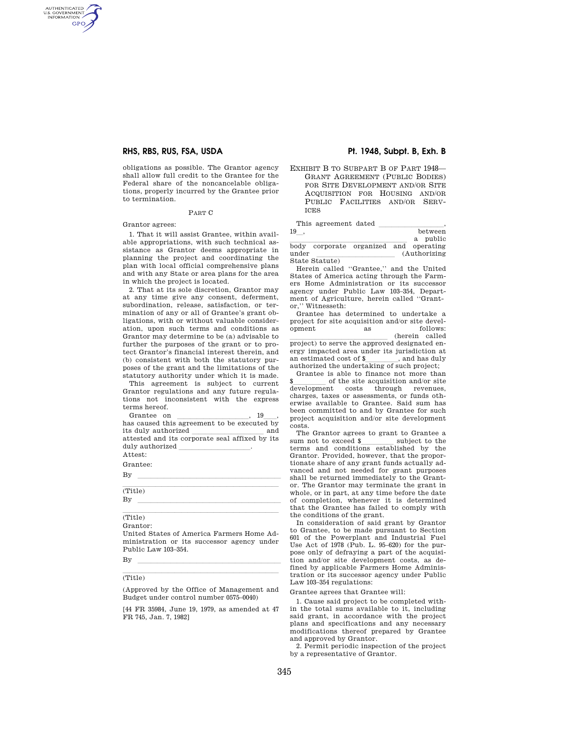## **RHS, RBS, RUS, FSA, USDA Pt. 1948, Subpt. B, Exh. B**

obligations as possible. The Grantor agency shall allow full credit to the Grantee for the Federal share of the noncancelable obligations, properly incurred by the Grantee prior to termination.

### PART C

Grantor agrees:

AUTHENTICATED<br>U.S. GOVERNMENT<br>INFORMATION GPO

> 1. That it will assist Grantee, within available appropriations, with such technical assistance as Grantor deems appropriate in planning the project and coordinating the plan with local official comprehensive plans and with any State or area plans for the area in which the project is located.

> 2. That at its sole discretion, Grantor may at any time give any consent, deferment, subordination, release, satisfaction, or termination of any or all of Grantee's grant obligations, with or without valuable consideration, upon such terms and conditions as Grantor may determine to be (a) advisable to further the purposes of the grant or to protect Grantor's financial interest therein, and (b) consistent with both the statutory purposes of the grant and the limitations of the statutory authority under which it is made.

> This agreement is subject to current Grantor regulations and any future regulations not inconsistent with the express terms hereof.

> Grantee on  $\frac{19}{19}$ , 19, has caused this agreement to be executed by its duly authorized lllllllllll and attested and its corporate seal affixed by its duly authorized

Attest:

Grantee:

 $\mathbf{B} \mathbf{y}$ (Title)

 $\mathbf{B} \mathbf{y}$ (Title)

Grantor:

United States of America Farmers Home Administration or its successor agency under Public Law 103–354.

 $\mathbf{B} \mathbf{y}$ 

# (Title)

(Approved by the Office of Management and Budget under control number 0575–0040)

[44 FR 35984, June 19, 1979, as amended at 47 FR 745, Jan. 7, 1982]

EXHIBIT B TO SUBPART B OF PART 1948— GRANT AGREEMENT (PUBLIC BODIES) FOR SITE DEVELOPMENT AND/OR SITE ACQUISITION FOR HOUSING AND/OR PUBLIC FACILITIES AND/OR SERV-ICES

State Statute)

 $\begin{tabular}{c} This agreement dated \begin{tabular}{c} \multicolumn{2}{c} {\textbf{\\ \textbf{19} }} \end{tabular} \end{tabular},$ a public body corporate organized and operating under (Authorizing)

Herein called ''Grantee,'' and the United States of America acting through the Farmers Home Administration or its successor agency under Public Law 103–354, Department of Agriculture, herein called ''Grantor,'' Witnesseth:

Grantee has determined to undertake a project for site acquisition and/or site development as follows:<br>  $$\tt (herein\ called\$ (herein called project) to serve the approved designated en-

ergy impacted area under its jurisdiction at an estimated cost of \$\_\_\_\_\_\_\_, and has duly an estimated cost of \$\_\_\_\_\_\_\_\_\_, and has duly authorized the undertaking of such project;

Grantee is able to finance not more than  $\frac{\text{?}}{\text{leveloment}}$  of the site acquisition and/or site development costs through revenues. development costs through charges, taxes or assessments, or funds otherwise available to Grantee. Said sum has been committed to and by Grantee for such project acquisition and/or site development costs.

The Grantor agrees to grant to Grantee a sum not to exceed \$\_\_\_\_\_\_\_\_\_\_\_ subject to the terms and conditions established by the Grantor. Provided, however, that the proportionate share of any grant funds actually advanced and not needed for grant purposes shall be returned immediately to the Grantor. The Grantor may terminate the grant in whole, or in part, at any time before the date of completion, whenever it is determined that the Grantee has failed to comply with the conditions of the grant.

In consideration of said grant by Grantor to Grantee, to be made pursuant to Section 601 of the Powerplant and Industrial Fuel Use Act of 1978 (Pub. L. 95–620) for the purpose only of defraying a part of the acquisition and/or site development costs, as defined by applicable Farmers Home Administration or its successor agency under Public Law 103–354 regulations:

Grantee agrees that Grantee will:

1. Cause said project to be completed within the total sums available to it, including said grant, in accordance with the project plans and specifications and any necessary modifications thereof prepared by Grantee and approved by Grantor.

2. Permit periodic inspection of the project by a representative of Grantor.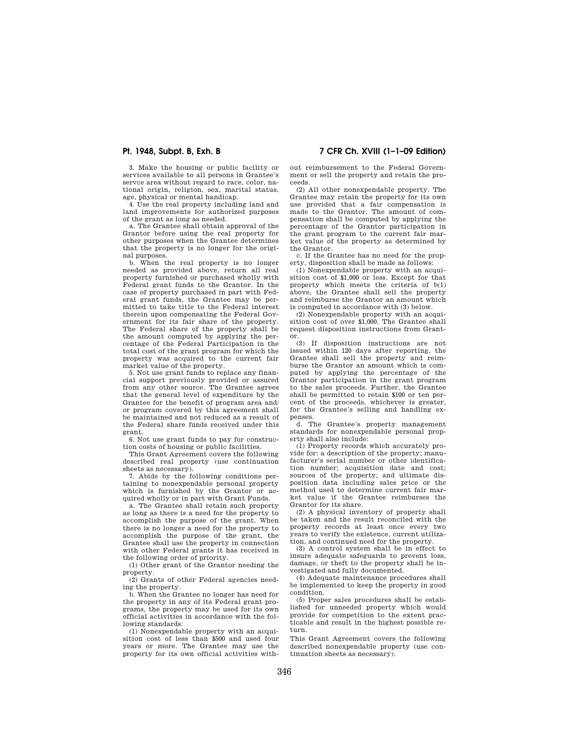**Pt. 1948, Subpt. B, Exh. B 7 CFR Ch. XVIII (1–1–09 Edition)** 

3. Make the housing or public facility or services available to all persons in Grantee's servce area without regard to race, color, national origin, religion, sex, marital status, age, physical or mental handicap.

4. Use the real property including land and land improvements for authorized purposes of the grant as long as needed.

a. The Grantee shall obtain approval of the Grantor before using the real property for other purposes when the Grantee determines that the property is no longer for the original purposes.

b. When the real property is no longer needed as provided above, return all real property furnished or purchased wholly with Federal grant funds to the Grantor. In the case of property purchased in part with Federal grant funds, the Grantee may be permitted to take title to the Federal interest therein upon compensating the Federal Government for its fair share of the property. The Federal share of the property shall be the amount computed by applying the percentage of the Federal Participation in the total cost of the grant program for which the property was acquired to the current fair market value of the property.

5. Not use grant funds to replace any financial support previously provided or assured from any other source. The Grantee agrees that the general level of expenditure by the Grantee for the benefit of program area and/ or program covered by this agreement shall be maintained and not reduced as a result of the Federal share funds received under this grant.

6. Not use grant funds to pay for construction costs of housing or public facilities.

This Grant Agreement covers the following described real property (use continuation sheets as necessary).

7. Abide by the following conditions pertaining to nonexpendable personal property which is furnished by the Grantor or acquired wholly or in part with Grant Funds.

a. The Grantee shall retain such property as long as there is a need for the property to accomplish the purpose of the grant. When there is no longer a need for the property to accomplish the purpose of the grant, the Grantee shall use the property in connection with other Federal grants it has received in the following order of priority.

(1) Other grant of the Grantor needing the property.

(2) Grants of other Federal agencies needing the property.

b. When the Grantee no longer has need for the property in any of its Federal grant programs, the property may be used for its own official activities in accordance with the following standards:

(1) Nonexpendable property with an acquisition cost of less than \$500 and used four years or more. The Grantee may use the property for its own official activities without reimbursement to the Federal Government or sell the property and retain the proceeds.

(2) All other nonexpendable property. The Grantee may retain the property for its own use provided that a fair compensation is made to the Grantor. The amount of compensation shall be computed by applying the percentage of the Grantor participation in the grant program to the current fair market value of the property as determined by the Grantor.

c. If the Grantee has no need for the property, disposition shall be made as follows:

(1) Nonexpendable property with an acquisition cost of \$1,000 or less. Except for that property which meets the criteria of b(1) above, the Grantee shall sell the property and reimburse the Grantor an amount which is computed in accordance with (3) below.

(2) Nonexpendable property with an acquisition cost of over \$1,000. The Grantee shall request disposition instructions from Grantor.

(3) If disposition instructions are not issued within 120 days after reporting, the Grantee shall sell the property and reimburse the Grantor an amount which is computed by applying the percentage of the Grantor participation in the grant program to the sales proceeds. Further, the Grantee shall be permitted to retain \$100 or ten percent of the proceeds, whichever is greater, for the Grantee's selling and handling expenses.

d. The Grantee's property management standards for nonexpendable personal property shall also include:

(1) Property records which accurately provide for: a description of the property; manufacturer's serial number or other identification number; acquisition date and cost; sources of the property; and ultimate disposition data including sales price or the method used to determine current fair market value if the Grantee reimburses the Grantor for its share.

(2) A physical inventory of property shall be taken and the result reconciled with the property records at least once every two years to verify the existence, current utilization, and continued need for the property.

(3) A control system shall be in effect to insure adequate safeguards to prevent loss, damage, or theft to the property shall be investigated and fully documented.

(4) Adequate maintenance procedures shall be implemented to keep the property in good condition.

(5) Proper sales procedures shall be established for unneeded property which would provide for competition to the extent practicable and result in the highest possible return.

This Grant Agreement covers the following described nonexpendable property (use continuation sheets as necessary).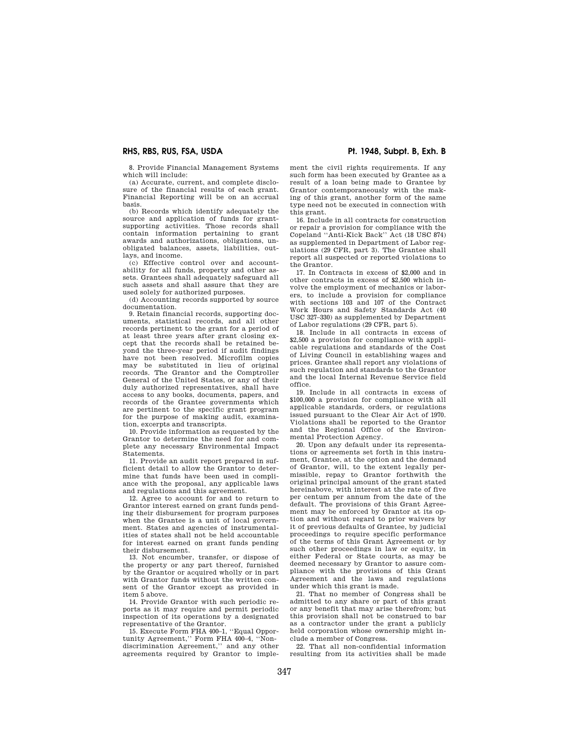## **RHS, RBS, RUS, FSA, USDA Pt. 1948, Subpt. B, Exh. B**

8. Provide Financial Management Systems which will include:

(a) Accurate, current, and complete disclosure of the financial results of each grant. Financial Reporting will be on an accrual basis.

(b) Records which identify adequately the source and application of funds for grantsupporting activities. Those records shall contain information pertaining to grant awards and authorizations, obligations, unobligated balances, assets, liabilities, outlays, and income.

(c) Effective control over and accountability for all funds, property and other assets. Grantees shall adequately safeguard all such assets and shall assure that they are used solely for authorized purposes.

(d) Accounting records supported by source documentation.

9. Retain financial records, supporting documents, statistical records, and all other records pertinent to the grant for a period of at least three years after grant closing except that the records shall be retained beyond the three-year period if audit findings have not been resolved. Microfilm copies may be substituted in lieu of original records. The Grantor and the Comptroller General of the United States, or any of their duly authorized representatives, shall have access to any books, documents, papers, and records of the Grantee governments which are pertinent to the specific grant program for the purpose of making audit, examination, excerpts and transcripts.

10. Provide information as requested by the Grantor to determine the need for and complete any necessary Environmental Impact Statements.

11. Provide an audit report prepared in sufficient detail to allow the Grantor to determine that funds have been used in compliance with the proposal, any applicable laws and regulations and this agreement.

12. Agree to account for and to return to Grantor interest earned on grant funds pending their disbursement for program purposes when the Grantee is a unit of local government. States and agencies of instrumentalities of states shall not be held accountable for interest earned on grant funds pending their disbursement.

13. Not encumber, transfer, or dispose of the property or any part thereof, furnished by the Grantor or acquired wholly or in part with Grantor funds without the written consent of the Grantor except as provided in item 5 above.

14. Provide Grantor with such periodic reports as it may require and permit periodic inspection of its operations by a designated representative of the Grantor.

15. Execute Form FHA 400–1, ''Equal Opportunity Agreement,'' Form FHA 400–4, ''Nondiscrimination Agreement,'' and any other agreements required by Grantor to imple-

ment the civil rights requirements. If any such form has been executed by Grantee as a result of a loan being made to Grantee by Grantor contemporaneously with the making of this grant, another form of the same type need not be executed in connection with this grant.

16. Include in all contracts for construction or repair a provision for compliance with the Copeland ''Anti-Kick Back'' Act (18 USC 874) as supplemented in Department of Labor regulations (29 CFR, part 3). The Grantee shall report all suspected or reported violations to the Grantor.

17. In Contracts in excess of \$2,000 and in other contracts in excess of \$2,500 which involve the employment of mechanics or laborers, to include a provision for compliance with sections 103 and 107 of the Contract Work Hours and Safety Standards Act (40 USC 327–330) as supplemented by Department of Labor regulations (29 CFR, part 5).

18. Include in all contracts in excess of \$2,500 a provision for compliance with applicable regulations and standards of the Cost of Living Council in establishing wages and prices. Grantee shall report any violations of such regulation and standards to the Grantor and the local Internal Revenue Service field office.

19. Include in all contracts in excess of \$100,000 a provision for compliance with all applicable standards, orders, or regulations issued pursuant to the Clear Air Act of 1970. Violations shall be reported to the Grantor and the Regional Office of the Environmental Protection Agency.

20. Upon any default under its representations or agreements set forth in this instrument, Grantee, at the option and the demand of Grantor, will, to the extent legally permissible, repay to Grantor forthwith the original principal amount of the grant stated hereinabove, with interest at the rate of five per centum per annum from the date of the default. The provisions of this Grant Agreement may be enforced by Grantor at its option and without regard to prior waivers by it of previous defaults of Grantee, by judicial proceedings to require specific performance of the terms of this Grant Agreement or by such other proceedings in law or equity, in either Federal or State courts, as may be deemed necessary by Grantor to assure compliance with the provisions of this Grant Agreement and the laws and regulations under which this grant is made.

21. That no member of Congress shall be admitted to any share or part of this grant or any benefit that may arise therefrom; but this provision shall not be construed to bar as a contractor under the grant a publicly held corporation whose ownership might include a member of Congress.

22. That all non-confidential information resulting from its activities shall be made